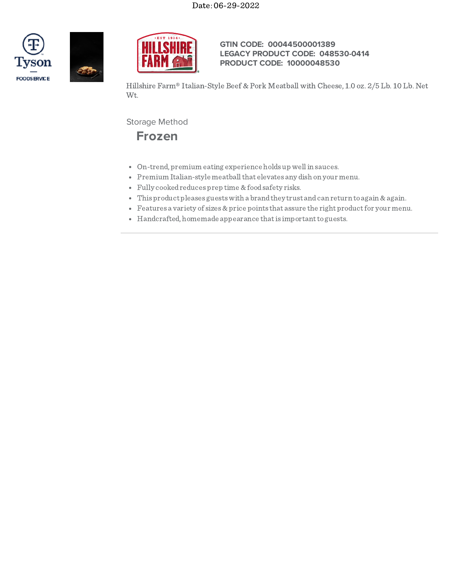



**GTIN CODE: 00044500001389 LEGACY PRODUCT CODE: 048530-0414 PRODUCT CODE: 10000048530**

Hillshire Farm® Italian-Style Beef & Pork Meatball with Cheese, 1.0 oz. 2/5 Lb. 10 Lb. Net Wt.

Storage Method

**Frozen**

- On-trend, premium eating experience holds up wellin sauces.
- Premium Italian-style meatball that elevates any dish on your menu.
- Fully cookedreduces prep time &foodsafety risks.
- This product pleases guests with a brand they trust and can return to again & again.
- Features a variety of sizes  $\&$  price points that assure the right product for your menu.
- Handcrafted, homemade appearance that is important to guests.